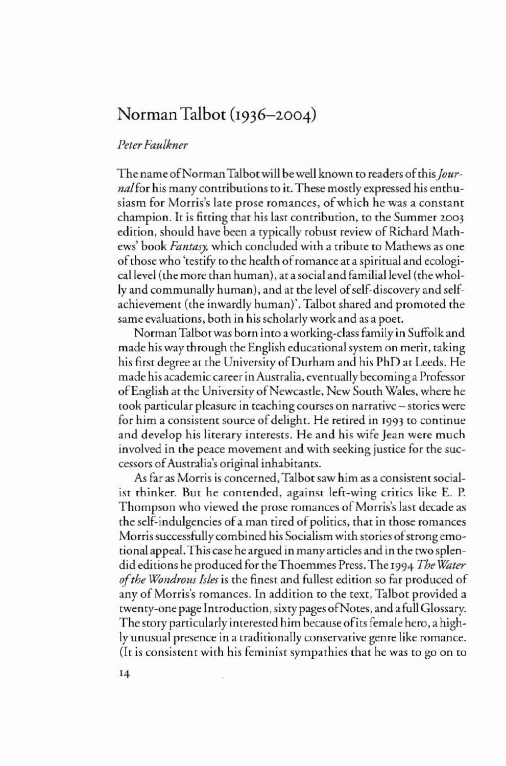## Norman Talbot (1936–2004)

## *PeterFaulkner*

The name of Norman Talbot will be well known to readers of this *Journal*for his many contributions to it. These mostly expressed his enthusiasm for Morris's late prose romances, of which he was a constant champion. It is fitting that his last contribution, to the Summer 2003 edition, should have been a typically robust review of Richard Mathews' book *Fantasy,* which concluded with a tribute to Mathews as one ofthose who 'testifY to the health ofromance at a spiritual and ecologicallevel (the more than human), at asocial and familial level (thewholly and communally human), and at the level of self-discovery and selfachievement (the inwardly human)'. Talbot shared and promoted the same evaluations, both in his scholarly work and as a poet.

NormanTalbotwas born into a working-class family in Suffolk and made his way through the English educational system on merit, taking his first degree at the University of Durham and his PhD at Leeds. He made his academic career in Australia, eventually becoming a Professor of English at the University of Newcastle, New South Wales, where he took particular pleasure in teaching courses on narrative - stories were for him a consistent source of delight. He retired in [993 to continue and develop his literary interests. He and his wife Jean were much involved in the peace movement and with seeking justice for the successors ofAustralia's original inhabitants.

As far as Morris is concerned, Talbot saw him as a consistent socialist thinker. But he contended, against left-wing critics like E. P. Thompson who viewed the prose romances of Morris's last decade as the self-indulgencies of a man tired of politics, that in those romances Morris successfully combined his Socialism with stories of strong emotional appeal. This case he argued in manyarricles and in the two splendid editions he produced for theThoemmes Press. The 1994 *The Water ofthe Wondrous Isles* is the finest and fullest edition so far produced of any of Morris's romances. In addition to the text, Talbot provided a twenty-one page Introduction, sixty pages ofNores, and a full Glossary. The story particularly interested him because ofits female hero, a highly unusual presence in a traditionally conservative genre like romance. (It is consistent with his feminist sympathies that he was to go on to